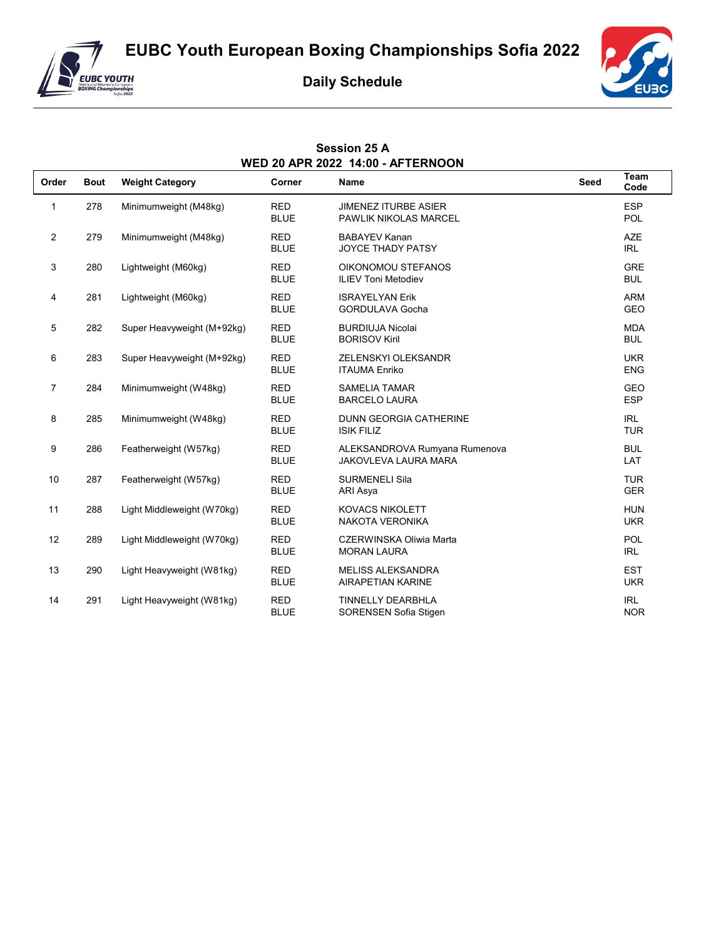**EUBC Youth European Boxing Championships Sofia 2022**



## **Daily Schedule**

**Session 25 A**



| <b>WED 20 APR 2022 14:00 - AFTERNOON</b> |             |                            |                           |                                                              |      |                          |
|------------------------------------------|-------------|----------------------------|---------------------------|--------------------------------------------------------------|------|--------------------------|
| Order                                    | <b>Bout</b> | <b>Weight Category</b>     | Corner                    | <b>Name</b>                                                  | Seed | Team<br>Code             |
| 1                                        | 278         | Minimumweight (M48kg)      | <b>RED</b><br><b>BLUE</b> | <b>JIMENEZ ITURBE ASIER</b><br>PAWLIK NIKOLAS MARCEL         |      | <b>ESP</b><br><b>POL</b> |
| $\overline{2}$                           | 279         | Minimumweight (M48kg)      | <b>RED</b><br><b>BLUE</b> | <b>BABAYEV Kanan</b><br><b>JOYCE THADY PATSY</b>             |      | <b>AZE</b><br><b>IRL</b> |
| 3                                        | 280         | Lightweight (M60kg)        | <b>RED</b><br><b>BLUE</b> | OIKONOMOU STEFANOS<br><b>ILIEV Toni Metodiev</b>             |      | <b>GRE</b><br><b>BUL</b> |
| 4                                        | 281         | Lightweight (M60kg)        | <b>RED</b><br><b>BLUE</b> | <b>ISRAYELYAN Erik</b><br><b>GORDULAVA Gocha</b>             |      | <b>ARM</b><br><b>GEO</b> |
| 5                                        | 282         | Super Heavyweight (M+92kg) | <b>RED</b><br><b>BLUE</b> | <b>BURDIUJA Nicolai</b><br><b>BORISOV Kiril</b>              |      | <b>MDA</b><br><b>BUL</b> |
| 6                                        | 283         | Super Heavyweight (M+92kg) | <b>RED</b><br><b>BLUE</b> | ZELENSKYI OLEKSANDR<br><b>ITAUMA Enriko</b>                  |      | <b>UKR</b><br><b>ENG</b> |
| $\overline{7}$                           | 284         | Minimumweight (W48kg)      | <b>RED</b><br><b>BLUE</b> | <b>SAMELIA TAMAR</b><br><b>BARCELO LAURA</b>                 |      | <b>GEO</b><br><b>ESP</b> |
| 8                                        | 285         | Minimumweight (W48kg)      | <b>RED</b><br><b>BLUE</b> | <b>DUNN GEORGIA CATHERINE</b><br><b>ISIK FILIZ</b>           |      | <b>IRL</b><br><b>TUR</b> |
| 9                                        | 286         | Featherweight (W57kg)      | <b>RED</b><br><b>BLUE</b> | ALEKSANDROVA Rumyana Rumenova<br><b>JAKOVLEVA LAURA MARA</b> |      | <b>BUL</b><br>LAT        |
| 10                                       | 287         | Featherweight (W57kg)      | <b>RED</b><br><b>BLUE</b> | <b>SURMENELI Sila</b><br>ARI Asya                            |      | <b>TUR</b><br><b>GER</b> |
| 11                                       | 288         | Light Middleweight (W70kg) | <b>RED</b><br><b>BLUE</b> | <b>KOVACS NIKOLETT</b><br><b>NAKOTA VERONIKA</b>             |      | <b>HUN</b><br><b>UKR</b> |
| 12                                       | 289         | Light Middleweight (W70kg) | <b>RED</b><br><b>BLUE</b> | CZERWINSKA Oliwia Marta<br><b>MORAN LAURA</b>                |      | POL<br><b>IRL</b>        |
| 13                                       | 290         | Light Heavyweight (W81kg)  | <b>RED</b><br><b>BLUE</b> | <b>MELISS ALEKSANDRA</b><br><b>AIRAPETIAN KARINE</b>         |      | <b>EST</b><br><b>UKR</b> |
| 14                                       | 291         | Light Heavyweight (W81kg)  | <b>RED</b><br><b>BLUE</b> | <b>TINNELLY DEARBHLA</b><br>SORENSEN Sofia Stigen            |      | <b>IRL</b><br><b>NOR</b> |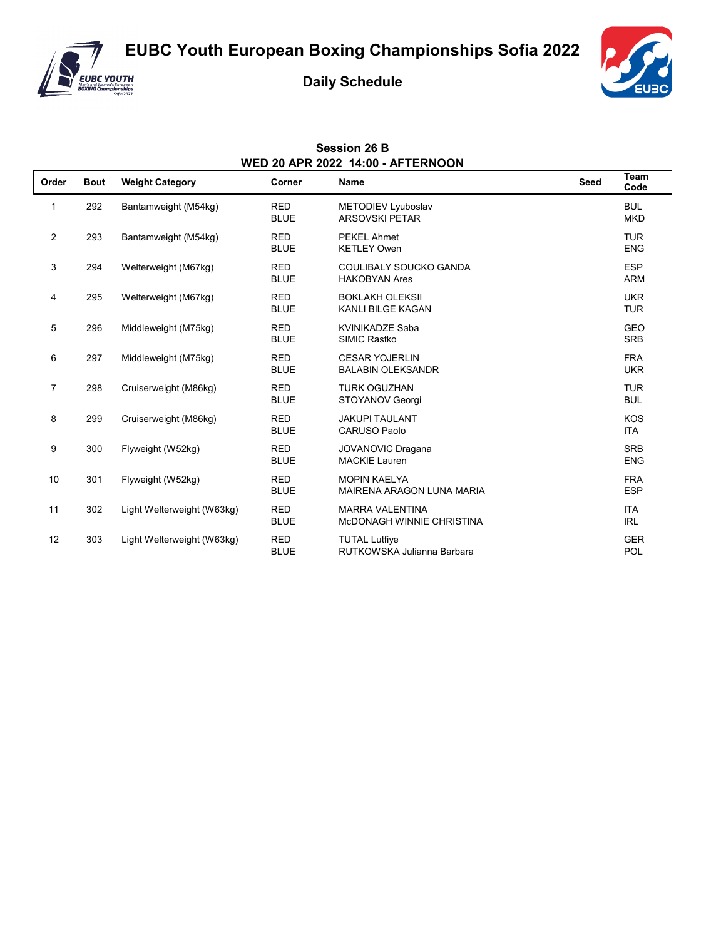**EUBC Youth European Boxing Championships Sofia 2022**



## **Daily Schedule**

**Session 26 B**



| <b>WED 20 APR 2022 14:00 - AFTERNOON</b> |             |                            |                           |                                                     |      |                          |
|------------------------------------------|-------------|----------------------------|---------------------------|-----------------------------------------------------|------|--------------------------|
| Order                                    | <b>Bout</b> | <b>Weight Category</b>     | Corner                    | <b>Name</b>                                         | Seed | Team<br>Code             |
| 1                                        | 292         | Bantamweight (M54kg)       | <b>RED</b><br><b>BLUE</b> | METODIEV Lyuboslav<br><b>ARSOVSKI PETAR</b>         |      | <b>BUL</b><br><b>MKD</b> |
| $\overline{2}$                           | 293         | Bantamweight (M54kg)       | <b>RED</b><br><b>BLUE</b> | <b>PEKEL Ahmet</b><br><b>KETLEY Owen</b>            |      | <b>TUR</b><br><b>ENG</b> |
| 3                                        | 294         | Welterweight (M67kg)       | <b>RED</b><br><b>BLUE</b> | COULIBALY SOUCKO GANDA<br><b>HAKOBYAN Ares</b>      |      | <b>ESP</b><br><b>ARM</b> |
| 4                                        | 295         | Welterweight (M67kg)       | <b>RED</b><br><b>BLUE</b> | <b>BOKLAKH OLEKSII</b><br><b>KANLI BILGE KAGAN</b>  |      | <b>UKR</b><br><b>TUR</b> |
| 5                                        | 296         | Middleweight (M75kg)       | <b>RED</b><br><b>BLUE</b> | <b>KVINIKADZE Saba</b><br>SIMIC Rastko              |      | <b>GEO</b><br><b>SRB</b> |
| 6                                        | 297         | Middleweight (M75kg)       | <b>RED</b><br><b>BLUE</b> | <b>CESAR YOJERLIN</b><br><b>BALABIN OLEKSANDR</b>   |      | <b>FRA</b><br><b>UKR</b> |
| $\overline{7}$                           | 298         | Cruiserweight (M86kg)      | <b>RED</b><br><b>BLUE</b> | <b>TURK OGUZHAN</b><br>STOYANOV Georgi              |      | <b>TUR</b><br><b>BUL</b> |
| 8                                        | 299         | Cruiserweight (M86kg)      | <b>RED</b><br><b>BLUE</b> | <b>JAKUPI TAULANT</b><br><b>CARUSO Paolo</b>        |      | <b>KOS</b><br><b>ITA</b> |
| 9                                        | 300         | Flyweight (W52kg)          | <b>RED</b><br><b>BLUE</b> | <b>JOVANOVIC Dragana</b><br><b>MACKIE Lauren</b>    |      | <b>SRB</b><br><b>ENG</b> |
| 10                                       | 301         | Flyweight (W52kg)          | <b>RED</b><br><b>BLUE</b> | <b>MOPIN KAELYA</b><br>MAIRENA ARAGON LUNA MARIA    |      | <b>FRA</b><br><b>ESP</b> |
| 11                                       | 302         | Light Welterweight (W63kg) | <b>RED</b><br><b>BLUE</b> | <b>MARRA VALENTINA</b><br>MCDONAGH WINNIE CHRISTINA |      | <b>ITA</b><br><b>IRL</b> |
| 12                                       | 303         | Light Welterweight (W63kg) | <b>RED</b><br><b>BLUE</b> | <b>TUTAL Lutfive</b><br>RUTKOWSKA Julianna Barbara  |      | <b>GER</b><br>POL        |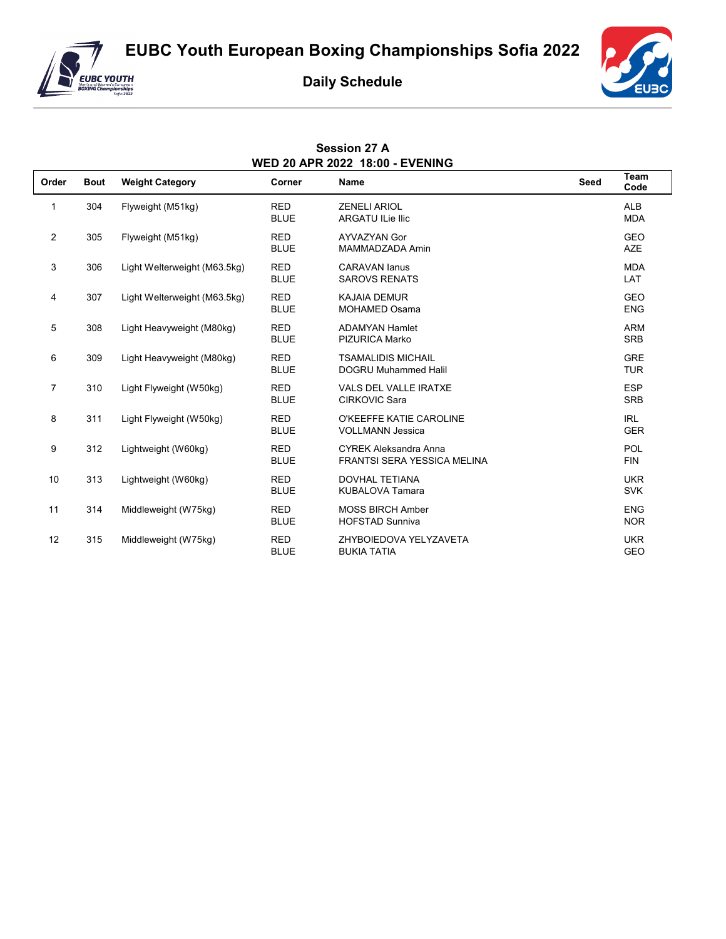



## **Daily Schedule**

**Session 27 A**



| <b>WED 20 APR 2022 18:00 - EVENING</b> |             |                              |                           |                                                                    |             |                          |
|----------------------------------------|-------------|------------------------------|---------------------------|--------------------------------------------------------------------|-------------|--------------------------|
| Order                                  | <b>Bout</b> | <b>Weight Category</b>       | Corner                    | <b>Name</b>                                                        | <b>Seed</b> | Team<br>Code             |
| 1                                      | 304         | Flyweight (M51kg)            | <b>RED</b><br><b>BLUE</b> | <b>ZENELI ARIOL</b><br><b>ARGATU ILie Ilic</b>                     |             | <b>ALB</b><br><b>MDA</b> |
| $\overline{2}$                         | 305         | Flyweight (M51kg)            | <b>RED</b><br><b>BLUE</b> | <b>AYVAZYAN Gor</b><br>MAMMADZADA Amin                             |             | <b>GEO</b><br><b>AZE</b> |
| $\mathsf 3$                            | 306         | Light Welterweight (M63.5kg) | <b>RED</b><br><b>BLUE</b> | <b>CARAVAN lanus</b><br><b>SAROVS RENATS</b>                       |             | <b>MDA</b><br>LAT        |
| 4                                      | 307         | Light Welterweight (M63.5kg) | <b>RED</b><br><b>BLUE</b> | <b>KAJAIA DEMUR</b><br><b>MOHAMED Osama</b>                        |             | <b>GEO</b><br><b>ENG</b> |
| 5                                      | 308         | Light Heavyweight (M80kg)    | <b>RED</b><br><b>BLUE</b> | <b>ADAMYAN Hamlet</b><br><b>PIZURICA Marko</b>                     |             | <b>ARM</b><br><b>SRB</b> |
| 6                                      | 309         | Light Heavyweight (M80kg)    | <b>RED</b><br><b>BLUE</b> | <b>TSAMALIDIS MICHAIL</b><br><b>DOGRU Muhammed Halil</b>           |             | <b>GRE</b><br><b>TUR</b> |
| $\overline{7}$                         | 310         | Light Flyweight (W50kg)      | <b>RED</b><br><b>BLUE</b> | VALS DEL VALLE IRATXE<br><b>CIRKOVIC Sara</b>                      |             | <b>ESP</b><br><b>SRB</b> |
| 8                                      | 311         | Light Flyweight (W50kg)      | <b>RED</b><br><b>BLUE</b> | O'KEEFFE KATIE CAROLINE<br><b>VOLLMANN Jessica</b>                 |             | <b>IRL</b><br><b>GER</b> |
| 9                                      | 312         | Lightweight (W60kg)          | <b>RED</b><br><b>BLUE</b> | <b>CYREK Aleksandra Anna</b><br><b>FRANTSI SERA YESSICA MELINA</b> |             | POL<br><b>FIN</b>        |
| 10                                     | 313         | Lightweight (W60kg)          | <b>RED</b><br><b>BLUE</b> | <b>DOVHAL TETIANA</b><br><b>KUBALOVA Tamara</b>                    |             | <b>UKR</b><br><b>SVK</b> |
| 11                                     | 314         | Middleweight (W75kg)         | <b>RED</b><br><b>BLUE</b> | <b>MOSS BIRCH Amber</b><br><b>HOFSTAD Sunniva</b>                  |             | <b>ENG</b><br><b>NOR</b> |
| 12                                     | 315         | Middleweight (W75kg)         | <b>RED</b><br><b>BLUE</b> | ZHYBOIEDOVA YELYZAVETA<br><b>BUKIA TATIA</b>                       |             | <b>UKR</b><br><b>GEO</b> |